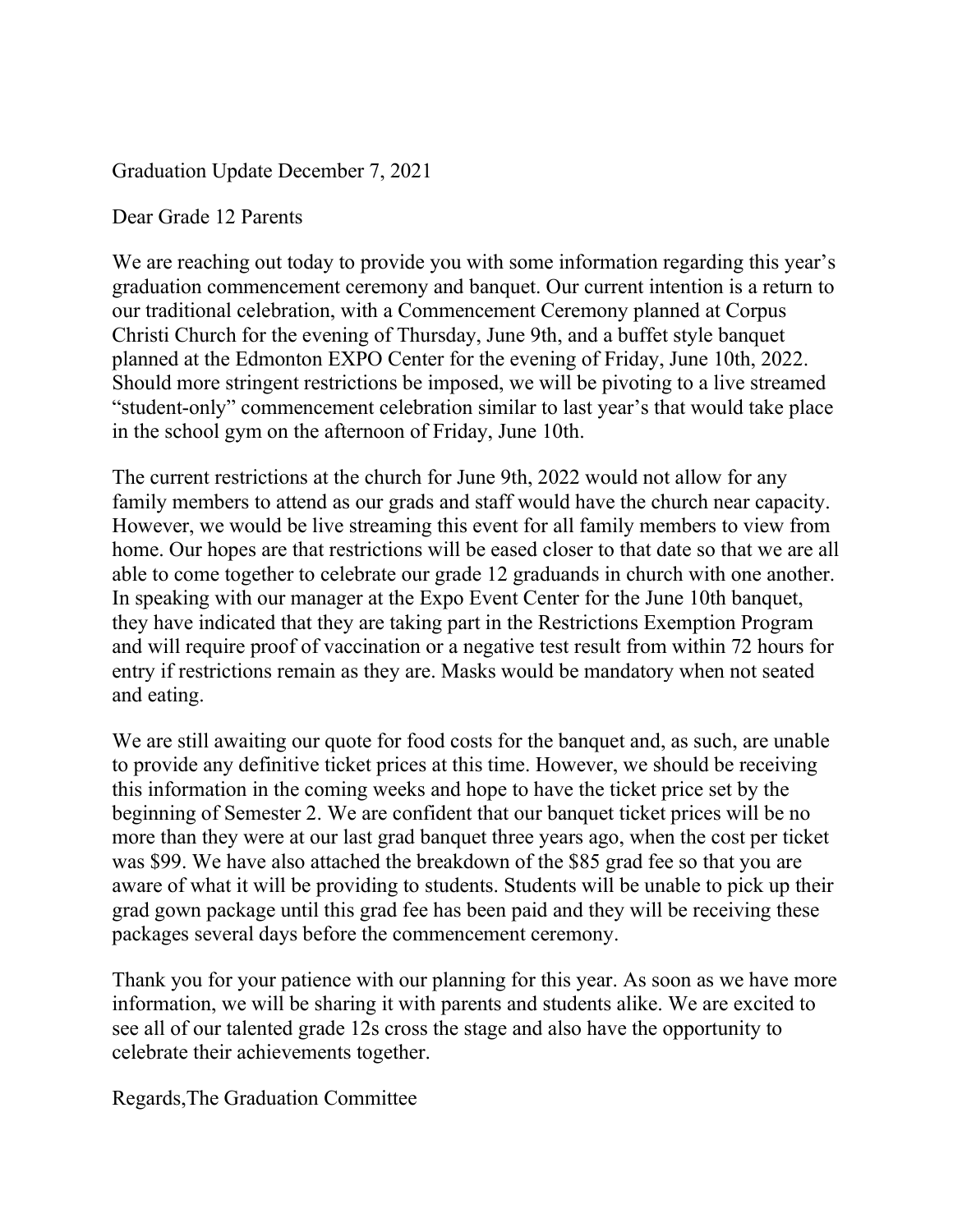Graduation Update December 7, 2021

Dear Grade 12 Parents

We are reaching out today to provide you with some information regarding this year's graduation commencement ceremony and banquet. Our current intention is a return to our traditional celebration, with a Commencement Ceremony planned at Corpus Christi Church for the evening of Thursday, June 9th, and a buffet style banquet planned at the Edmonton EXPO Center for the evening of Friday, June 10th, 2022. Should more stringent restrictions be imposed, we will be pivoting to a live streamed "student-only" commencement celebration similar to last year's that would take place in the school gym on the afternoon of Friday, June 10th.

The current restrictions at the church for June 9th, 2022 would not allow for any family members to attend as our grads and staff would have the church near capacity. However, we would be live streaming this event for all family members to view from home. Our hopes are that restrictions will be eased closer to that date so that we are all able to come together to celebrate our grade 12 graduands in church with one another. In speaking with our manager at the Expo Event Center for the June 10th banquet, they have indicated that they are taking part in the Restrictions Exemption Program and will require proof of vaccination or a negative test result from within 72 hours for entry if restrictions remain as they are. Masks would be mandatory when not seated and eating.

We are still awaiting our quote for food costs for the banquet and, as such, are unable to provide any definitive ticket prices at this time. However, we should be receiving this information in the coming weeks and hope to have the ticket price set by the beginning of Semester 2. We are confident that our banquet ticket prices will be no more than they were at our last grad banquet three years ago, when the cost per ticket was \$99. We have also attached the breakdown of the \$85 grad fee so that you are aware of what it will be providing to students. Students will be unable to pick up their grad gown package until this grad fee has been paid and they will be receiving these packages several days before the commencement ceremony.

Thank you for your patience with our planning for this year. As soon as we have more information, we will be sharing it with parents and students alike. We are excited to see all of our talented grade 12s cross the stage and also have the opportunity to celebrate their achievements together.

Regards,The Graduation Committee